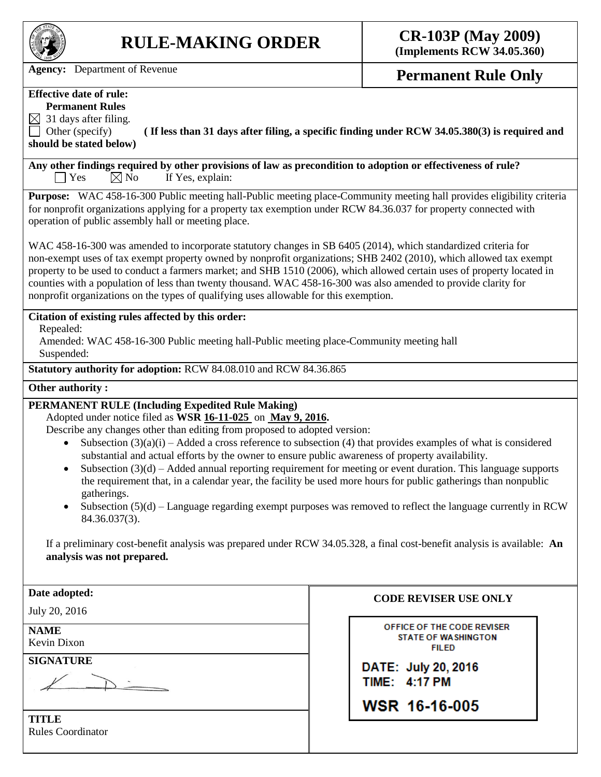

# **RULE-MAKING ORDER CR-103P (May 2009)**

**(Implements RCW 34.05.360)**

Agency: Department of Revenue **Permanent Rule Only** 

## **Effective date of rule:**

**Permanent Rules**

 $\boxtimes$  31 days after filing.

Other (specify) **( If less than 31 days after filing, a specific finding under RCW 34.05.380(3) is required and should be stated below)**

**Any other findings required by other provisions of law as precondition to adoption or effectiveness of rule?**  $\Box$  Yes  $\boxtimes$  No If Yes, explain:

**Purpose:** WAC 458-16-300 Public meeting hall-Public meeting place-Community meeting hall provides eligibility criteria for nonprofit organizations applying for a property tax exemption under RCW 84.36.037 for property connected with operation of public assembly hall or meeting place.

WAC 458-16-300 was amended to incorporate statutory changes in SB 6405 (2014), which standardized criteria for non-exempt uses of tax exempt property owned by nonprofit organizations; SHB 2402 (2010), which allowed tax exempt property to be used to conduct a farmers market; and SHB 1510 (2006), which allowed certain uses of property located in counties with a population of less than twenty thousand. WAC 458-16-300 was also amended to provide clarity for nonprofit organizations on the types of qualifying uses allowable for this exemption.

#### **Citation of existing rules affected by this order:**

Repealed:

Amended: WAC 458-16-300 Public meeting hall-Public meeting place-Community meeting hall Suspended:

**Statutory authority for adoption:** RCW 84.08.010 and RCW 84.36.865

#### **Other authority :**

### **PERMANENT RULE (Including Expedited Rule Making)**

Adopted under notice filed as **WSR 16-11-025** on **May 9, 2016.**

Describe any changes other than editing from proposed to adopted version:

- Subsection  $(3)(a)(i)$  Added a cross reference to subsection (4) that provides examples of what is considered substantial and actual efforts by the owner to ensure public awareness of property availability.
- Subsection (3)(d) Added annual reporting requirement for meeting or event duration. This language supports the requirement that, in a calendar year, the facility be used more hours for public gatherings than nonpublic gatherings.
- $\bullet$  Subsection (5)(d) Language regarding exempt purposes was removed to reflect the language currently in RCW 84.36.037(3).

If a preliminary cost-benefit analysis was prepared under RCW 34.05.328, a final cost-benefit analysis is available: **An analysis was not prepared.**

| Date adopted:                               | <b>CODE REVISER USE ONLY</b>                                             |  |
|---------------------------------------------|--------------------------------------------------------------------------|--|
| July 20, 2016<br><b>NAME</b><br>Kevin Dixon | OFFICE OF THE CODE REVISER<br><b>STATE OF WASHINGTON</b><br><b>FILED</b> |  |
| <b>SIGNATURE</b>                            | DATE: July 20, 2016<br>TIME: 4:17 PM                                     |  |
|                                             | WSR 16-16-005                                                            |  |
| TITLE<br><b>Rules Coordinator</b>           |                                                                          |  |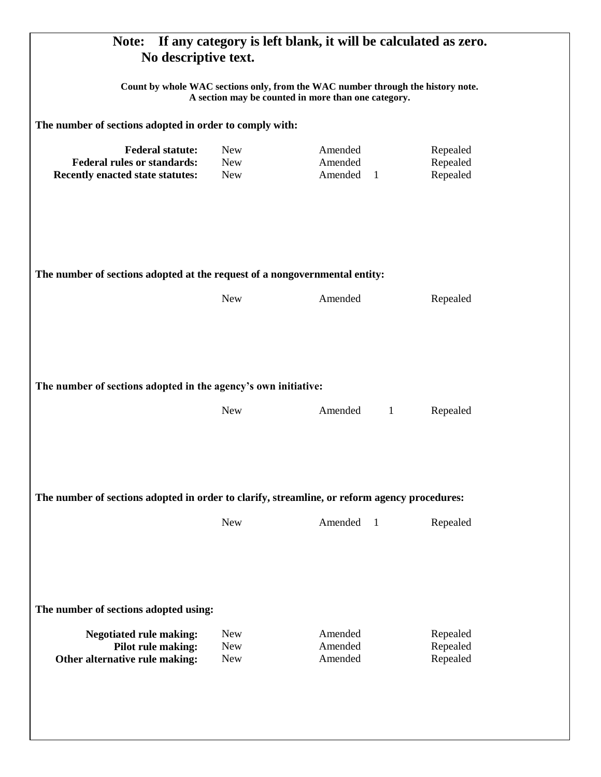| If any category is left blank, it will be calculated as zero.<br>Note:<br>No descriptive text.<br>Count by whole WAC sections only, from the WAC number through the history note.<br>A section may be counted in more than one category.<br>The number of sections adopted in order to comply with: |                                        |                               |                                  |  |                                                                                                                 |                                        |                                                 |                                  |
|-----------------------------------------------------------------------------------------------------------------------------------------------------------------------------------------------------------------------------------------------------------------------------------------------------|----------------------------------------|-------------------------------|----------------------------------|--|-----------------------------------------------------------------------------------------------------------------|----------------------------------------|-------------------------------------------------|----------------------------------|
|                                                                                                                                                                                                                                                                                                     |                                        |                               |                                  |  | <b>Federal statute:</b><br><b>Federal rules or standards:</b><br>Recently enacted state statutes:               | <b>New</b><br><b>New</b><br><b>New</b> | Amended<br>Amended<br>Amended<br>$\overline{1}$ | Repealed<br>Repealed<br>Repealed |
|                                                                                                                                                                                                                                                                                                     |                                        |                               |                                  |  | The number of sections adopted at the request of a nongovernmental entity:<br>Amended<br><b>New</b><br>Repealed |                                        |                                                 |                                  |
| The number of sections adopted in the agency's own initiative:<br><b>New</b><br>Amended<br>$\mathbf{1}$<br>Repealed                                                                                                                                                                                 |                                        |                               |                                  |  |                                                                                                                 |                                        |                                                 |                                  |
| The number of sections adopted in order to clarify, streamline, or reform agency procedures:<br>Amended<br><b>New</b><br>Repealed<br>$\overline{1}$                                                                                                                                                 |                                        |                               |                                  |  |                                                                                                                 |                                        |                                                 |                                  |
| The number of sections adopted using:<br><b>Negotiated rule making:</b><br>Pilot rule making:<br>Other alternative rule making:                                                                                                                                                                     | <b>New</b><br><b>New</b><br><b>New</b> | Amended<br>Amended<br>Amended | Repealed<br>Repealed<br>Repealed |  |                                                                                                                 |                                        |                                                 |                                  |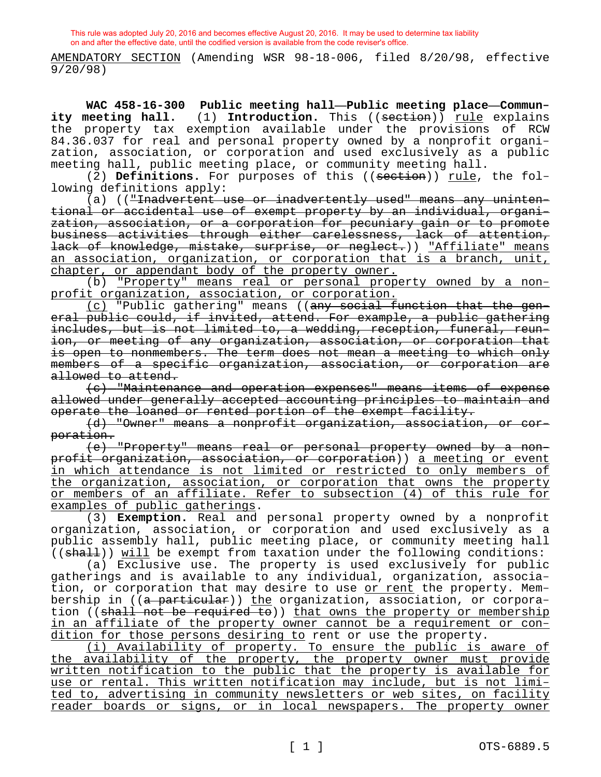AMENDATORY SECTION (Amending WSR 98-18-006, filed 8/20/98, effective 9/20/98)

**WAC 458-16-300 Public meeting hall—Public meeting place—Community meeting hall.** (1) Introduction. This ((section)) <u>rule</u> explains the property tax exemption available under the provisions of RCW 84.36.037 for real and personal property owned by a nonprofit organization, association, or corporation and used exclusively as a public meeting hall, public meeting place, or community meeting hall.

(2) **Definitions.** For purposes of this ((section)) rule, the following definitions apply:

(a) (("Inadvertent use or inadvertently used" means any unintentional or accidental use of exempt property by an individual, organization, association, or a corporation for pecuniary gain or to promote business activities through either carelessness, lack of attention, lack of knowledge, mistake, surprise, or neglect.)) "Affiliate" means an association, organization, or corporation that is a branch, unit, chapter, or appendant body of the property owner.

(b) "Property" means real or personal property owned by a nonprofit organization, association, or corporation.

(c) "Public gathering" means ((any social function that the general public could, if invited, attend. For example, a public gathering includes, but is not limited to, a wedding, reception, funeral, reunion, or meeting of any organization, association, or corporation that is open to nonmembers. The term does not mean a meeting to which only members of a specific organization, association, or corporation are allowed to attend.

(c) "Maintenance and operation expenses" means items of expense allowed under generally accepted accounting principles to maintain and operate the loaned or rented portion of the exempt facility.

(d) "Owner" means a nonprofit organization, association, or corporation.

(e) "Property" means real or personal property owned by a nonprofit organization, association, or corporation)) a meeting or event in which attendance is not limited or restricted to only members of the organization, association, or corporation that owns the property or members of an affiliate. Refer to subsection (4) of this rule for examples of public gatherings.

(3) **Exemption.** Real and personal property owned by a nonprofit organization, association, or corporation and used exclusively as a public assembly hall, public meeting place, or community meeting hall ((shall)) will be exempt from taxation under the following conditions:

(a) Exclusive use. The property is used exclusively for public gatherings and is available to any individual, organization, association, or corporation that may desire to use or rent the property. Membership in ((a particular)) the organization, association, or corporation ((shall not be required to)) that owns the property or membership in an affiliate of the property owner cannot be a requirement or condition for those persons desiring to rent or use the property.

(i) Availability of property. To ensure the public is aware of the availability of the property, the property owner must provide written notification to the public that the property is available for use or rental. This written notification may include, but is not limited to, advertising in community newsletters or web sites, on facility reader boards or signs, or in local newspapers. The property owner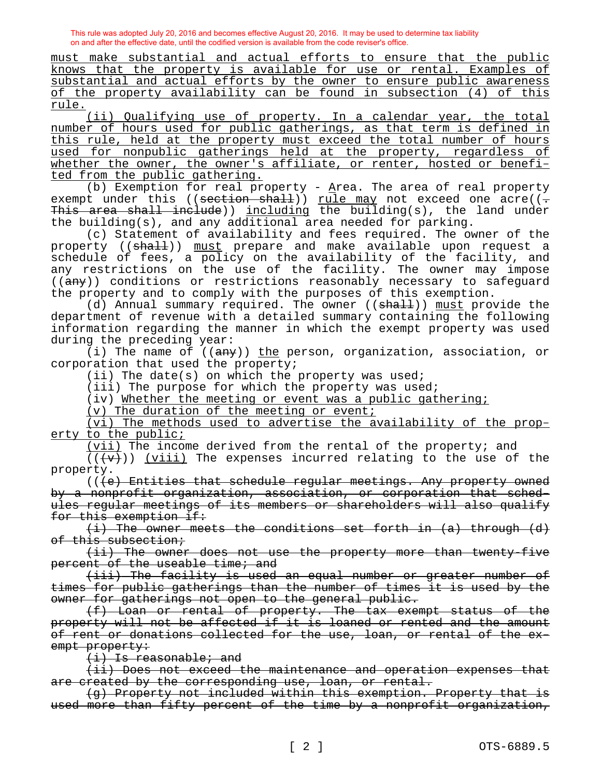must make substantial and actual efforts to ensure that the public knows that the property is available for use or rental. Examples of substantial and actual efforts by the owner to ensure public awareness of the property availability can be found in subsection (4) of this rule.

(ii) Qualifying use of property. In a calendar year, the total number of hours used for public gatherings, as that term is defined in this rule, held at the property must exceed the total number of hours used for nonpublic gatherings held at the property, regardless of whether the owner, the owner's affiliate, or renter, hosted or benefited from the public gathering.

(b) Exemption for real property -  $\Delta$ rea. The area of real property exempt under this ((section shall)) rule may not exceed one acre(( $\div$ This area shall include)) including the building(s), the land under the building(s), and any additional area needed for parking.

(c) Statement of availability and fees required. The owner of the property ((shall)) must prepare and make available upon request a schedule of fees, a policy on the availability of the facility, and any restrictions on the use of the facility. The owner may impose  $((a<sub>ny</sub>))$  conditions or restrictions reasonably necessary to safeguard the property and to comply with the purposes of this exemption.

(d) Annual summary required. The owner ((shall)) must provide the department of revenue with a detailed summary containing the following information regarding the manner in which the exempt property was used during the preceding year:

(i) The name of  $((a_n,y_n))$  the person, organization, association, or corporation that used the property;

(ii) The date(s) on which the property was used;

(iii) The purpose for which the property was used;

(iv) Whether the meeting or event was a public gathering;

(v) The duration of the meeting or event;

(vi) The methods used to advertise the availability of the property to the public;

(vii) The income derived from the rental of the property; and

 $((\langle v\rangle))$  (viii) The expenses incurred relating to the use of the property.

(((e) Entities that schedule regular meetings. Any property owned by a nonprofit organization, association, or corporation that schedules regular meetings of its members or shareholders will also qualify for this exemption if:

(i) The owner meets the conditions set forth in (a) through (d) of this subsection;

(ii) The owner does not use the property more than twenty-five percent of the useable time; and

(iii) The facility is used an equal number or greater number of times for public gatherings than the number of times it is used by the owner for gatherings not open to the general public.

(f) Loan or rental of property. The tax exempt status of the property will not be affected if it is loaned or rented and the amount of rent or donations collected for the use, loan, or rental of the exempt property:

(i) Is reasonable; and

(ii) Does not exceed the maintenance and operation expenses that are created by the corresponding use, loan, or rental.

(g) Property not included within this exemption. Property that is used more than fifty percent of the time by a nonprofit organization,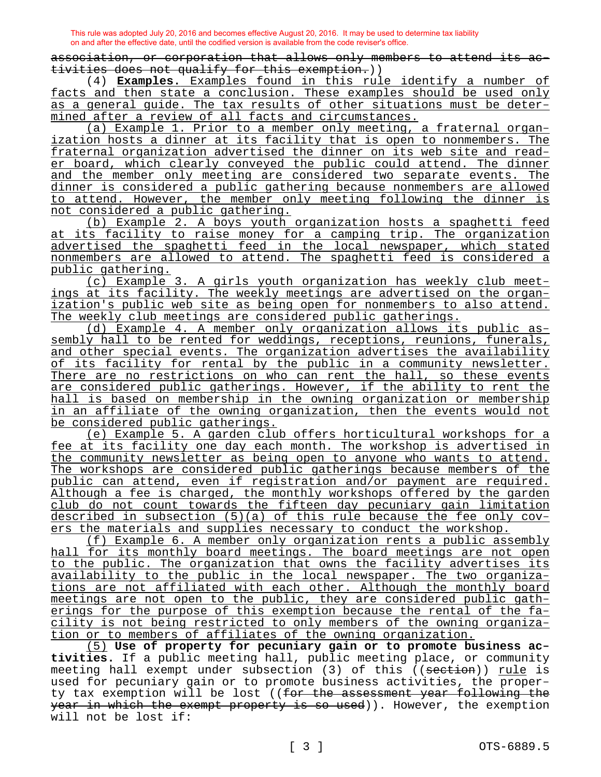association, or corporation that allows only members to attend its activities does not qualify for this exemption.))

(4) **Examples.** Examples found in this rule identify a number of facts and then state a conclusion. These examples should be used only as a general guide. The tax results of other situations must be determined after a review of all facts and circumstances.

(a) Example 1. Prior to a member only meeting, a fraternal organization hosts a dinner at its facility that is open to nonmembers. The fraternal organization advertised the dinner on its web site and reader board, which clearly conveyed the public could attend. The dinner and the member only meeting are considered two separate events. The dinner is considered a public gathering because nonmembers are allowed to attend. However, the member only meeting following the dinner is not considered a public gathering.

(b) Example 2. A boys youth organization hosts a spaghetti feed at its facility to raise money for a camping trip. The organization advertised the spaghetti feed in the local newspaper, which stated nonmembers are allowed to attend. The spaghetti feed is considered a public gathering.

(c) Example 3. A girls youth organization has weekly club meetings at its facility. The weekly meetings are advertised on the organization's public web site as being open for nonmembers to also attend. The weekly club meetings are considered public gatherings.

(d) Example 4. A member only organization allows its public assembly hall to be rented for weddings, receptions, reunions, funerals, and other special events. The organization advertises the availability of its facility for rental by the public in a community newsletter. There are no restrictions on who can rent the hall, so these events are considered public gatherings. However, if the ability to rent the hall is based on membership in the owning organization or membership in an affiliate of the owning organization, then the events would not be considered public gatherings.

(e) Example 5. A garden club offers horticultural workshops for a fee at its facility one day each month. The workshop is advertised in the community newsletter as being open to anyone who wants to attend. The workshops are considered public gatherings because members of the public can attend, even if registration and/or payment are required. Although a fee is charged, the monthly workshops offered by the garden club do not count towards the fifteen day pecuniary gain limitation described in subsection (5)(a) of this rule because the fee only covers the materials and supplies necessary to conduct the workshop.

(f) Example 6. A member only organization rents a public assembly hall for its monthly board meetings. The board meetings are not open to the public. The organization that owns the facility advertises its availability to the public in the local newspaper. The two organizations are not affiliated with each other. Although the monthly board meetings are not open to the public, they are considered public gatherings for the purpose of this exemption because the rental of the facility is not being restricted to only members of the owning organization or to members of affiliates of the owning organization.

(5) **Use of property for pecuniary gain or to promote business activities.** If a public meeting hall, public meeting place, or community meeting hall exempt under subsection (3) of this ((section)) rule is used for pecuniary gain or to promote business activities, the property tax exemption will be lost ((for the assessment year following the year in which the exempt property is so used)). However, the exemption will not be lost if: